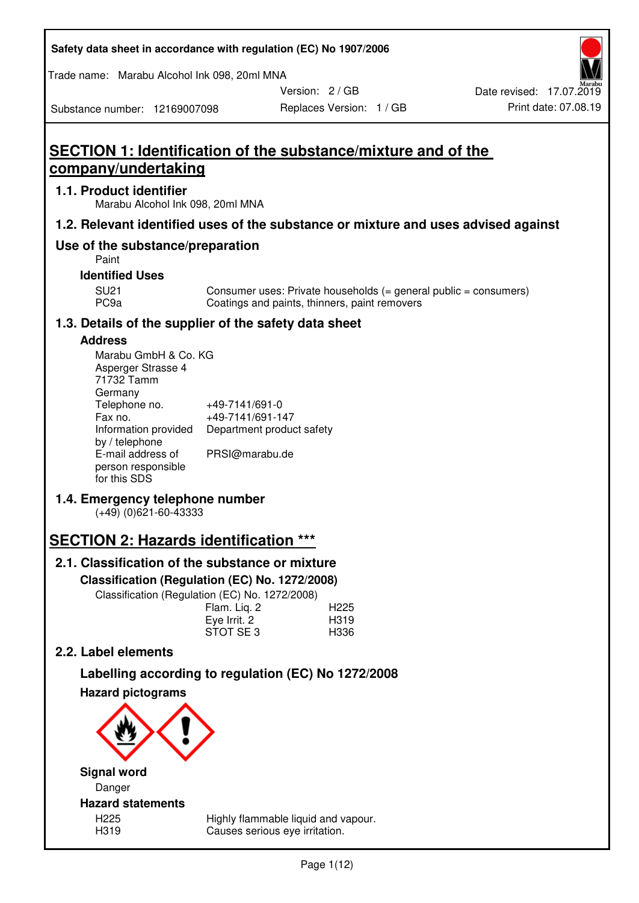| Safety data sheet in accordance with regulation (EC) No 1907/2006 |  |
|-------------------------------------------------------------------|--|
|-------------------------------------------------------------------|--|

Trade name: Marabu Alcohol Ink 098, 20ml MNA

Version: 2 / GB

Replaces Version: 1 / GB Print date: 07.08.19 Date revised: 17.07.2019

Substance number: 12169007098

**SECTION 1: Identification of the substance/mixture and of the company/undertaking** 

## **1.1. Product identifier**

Marabu Alcohol Ink 098, 20ml MNA

## **1.2. Relevant identified uses of the substance or mixture and uses advised against**

## **Use of the substance/preparation**

Paint

### **Identified Uses**

SU21 Consumer uses: Private households (= general public = consumers)<br>PC9a Coatings and paints, thinners, paint removers Coatings and paints, thinners, paint removers

## **1.3. Details of the supplier of the safety data sheet**

### **Address**

| Marabu GmbH & Co. KG |                           |
|----------------------|---------------------------|
| Asperger Strasse 4   |                           |
| 71732 Tamm           |                           |
| Germany              |                           |
| Telephone no.        | +49-7141/691-0            |
| Fax no.              | +49-7141/691-147          |
| Information provided | Department product safety |
| by / telephone       |                           |
| E-mail address of    | PRSI@marabu.de            |
| person responsible   |                           |
| for this SDS         |                           |

## **1.4. Emergency telephone number**

(+49) (0)621-60-43333

# **SECTION 2: Hazards identification \*\*\***

## **2.1. Classification of the substance or mixture**

**Classification (Regulation (EC) No. 1272/2008)** 

Classification (Regulation (EC) No. 1272/2008)

|              | . |                  |
|--------------|---|------------------|
| Flam. Liq. 2 |   | H <sub>225</sub> |
| Eye Irrit. 2 |   | H319             |
| STOT SE3     |   | H336             |
|              |   |                  |

## **2.2. Label elements**

# **Labelling according to regulation (EC) No 1272/2008**



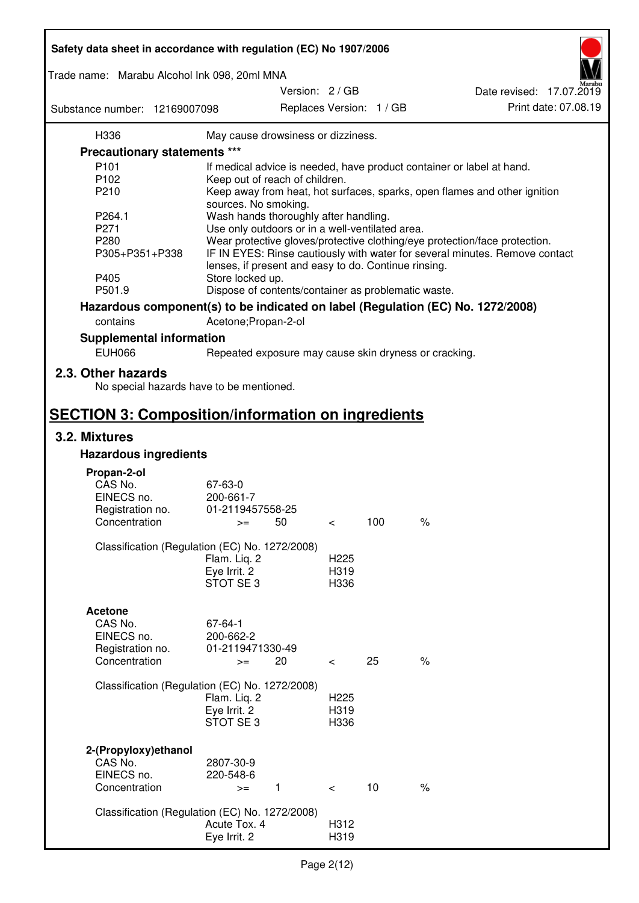| Safety data sheet in accordance with regulation (EC) No 1907/2006 |                                                       |                  |                          |                                                                                 |
|-------------------------------------------------------------------|-------------------------------------------------------|------------------|--------------------------|---------------------------------------------------------------------------------|
| Trade name: Marabu Alcohol Ink 098, 20ml MNA                      |                                                       |                  |                          |                                                                                 |
| Substance number: 12169007098                                     | Version: 2 / GB                                       |                  | Replaces Version: 1 / GB | Date revised: 17.07.2019<br>Print date: 07.08.19                                |
| H336                                                              | May cause drowsiness or dizziness.                    |                  |                          |                                                                                 |
| <b>Precautionary statements ***</b>                               |                                                       |                  |                          |                                                                                 |
| P <sub>101</sub>                                                  |                                                       |                  |                          | If medical advice is needed, have product container or label at hand.           |
| P102                                                              | Keep out of reach of children.                        |                  |                          |                                                                                 |
| P210                                                              |                                                       |                  |                          | Keep away from heat, hot surfaces, sparks, open flames and other ignition       |
|                                                                   | sources. No smoking.                                  |                  |                          |                                                                                 |
| P264.1                                                            | Wash hands thoroughly after handling.                 |                  |                          |                                                                                 |
| P271                                                              | Use only outdoors or in a well-ventilated area.       |                  |                          |                                                                                 |
| P280                                                              |                                                       |                  |                          | Wear protective gloves/protective clothing/eye protection/face protection.      |
| P305+P351+P338                                                    | lenses, if present and easy to do. Continue rinsing.  |                  |                          | IF IN EYES: Rinse cautiously with water for several minutes. Remove contact     |
| P405                                                              | Store locked up.                                      |                  |                          |                                                                                 |
| P501.9                                                            | Dispose of contents/container as problematic waste.   |                  |                          |                                                                                 |
|                                                                   |                                                       |                  |                          | Hazardous component(s) to be indicated on label (Regulation (EC) No. 1272/2008) |
| contains                                                          | Acetone; Propan-2-ol                                  |                  |                          |                                                                                 |
| <b>Supplemental information</b>                                   |                                                       |                  |                          |                                                                                 |
| <b>EUH066</b>                                                     | Repeated exposure may cause skin dryness or cracking. |                  |                          |                                                                                 |
| 2.3. Other hazards<br>No special hazards have to be mentioned.    |                                                       |                  |                          |                                                                                 |
| <b>SECTION 3: Composition/information on ingredients</b>          |                                                       |                  |                          |                                                                                 |
| 3.2. Mixtures                                                     |                                                       |                  |                          |                                                                                 |
| <b>Hazardous ingredients</b>                                      |                                                       |                  |                          |                                                                                 |
|                                                                   |                                                       |                  |                          |                                                                                 |
| Propan-2-ol                                                       |                                                       |                  |                          |                                                                                 |
| CAS No.<br>EINECS no.                                             | 67-63-0<br>200-661-7                                  |                  |                          |                                                                                 |
| Registration no.                                                  | 01-2119457558-25                                      |                  |                          |                                                                                 |
| Concentration                                                     | 50<br>$>=$                                            | $\,<\,$          | 100                      | $\%$                                                                            |
|                                                                   |                                                       |                  |                          |                                                                                 |
|                                                                   | Classification (Regulation (EC) No. 1272/2008)        |                  |                          |                                                                                 |
|                                                                   | Flam. Liq. 2                                          | H <sub>225</sub> |                          |                                                                                 |
|                                                                   | Eye Irrit. 2                                          | H319             |                          |                                                                                 |
|                                                                   | STOT SE3                                              | H336             |                          |                                                                                 |
|                                                                   |                                                       |                  |                          |                                                                                 |
| <b>Acetone</b>                                                    |                                                       |                  |                          |                                                                                 |
| CAS No.                                                           | 67-64-1                                               |                  |                          |                                                                                 |
| EINECS no.                                                        | 200-662-2                                             |                  |                          |                                                                                 |
| Registration no.                                                  | 01-2119471330-49                                      |                  |                          |                                                                                 |
| Concentration                                                     | 20<br>$>=$                                            | $\,<\,$          | 25                       | $\%$                                                                            |
|                                                                   |                                                       |                  |                          |                                                                                 |
|                                                                   | Classification (Regulation (EC) No. 1272/2008)        |                  |                          |                                                                                 |
|                                                                   | Flam. Liq. 2                                          | H <sub>225</sub> |                          |                                                                                 |
|                                                                   | Eye Irrit. 2                                          | H319             |                          |                                                                                 |
|                                                                   | STOT SE3                                              | H336             |                          |                                                                                 |
|                                                                   |                                                       |                  |                          |                                                                                 |
| 2-(Propyloxy)ethanol                                              |                                                       |                  |                          |                                                                                 |
| CAS No.<br>EINECS no.                                             | 2807-30-9                                             |                  |                          |                                                                                 |
| Concentration                                                     | 220-548-6<br>$\mathbf{1}$                             |                  | 10                       | $\%$                                                                            |
|                                                                   | $>=$                                                  | $\lt$            |                          |                                                                                 |
|                                                                   | Classification (Regulation (EC) No. 1272/2008)        |                  |                          |                                                                                 |
|                                                                   | Acute Tox. 4                                          | H312             |                          |                                                                                 |
|                                                                   | Eye Irrit. 2                                          | H319             |                          |                                                                                 |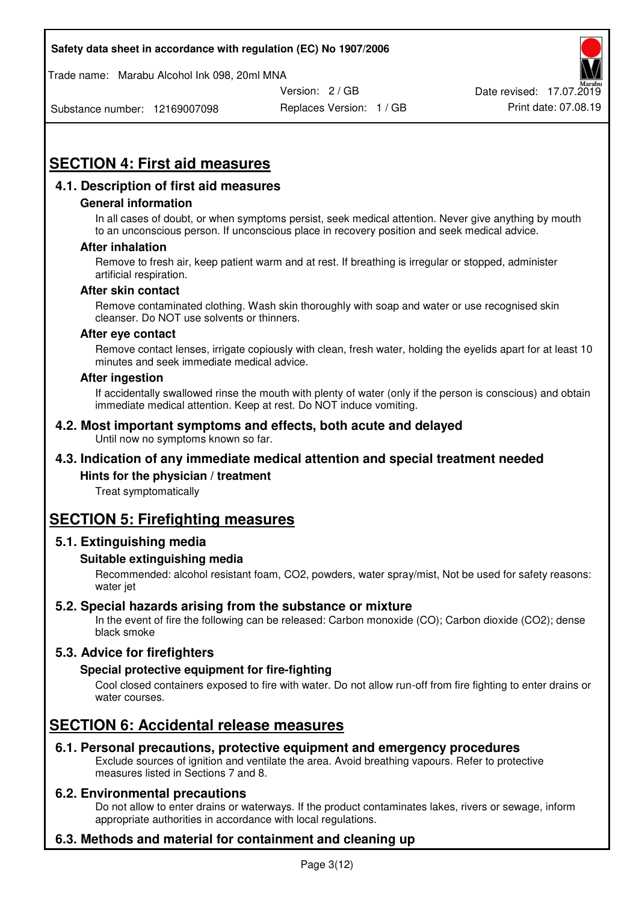Trade name: Marabu Alcohol Ink 098, 20ml MNA



Substance number: 12169007098

Replaces Version: 1 / GB Print date: 07.08.19

# **SECTION 4: First aid measures**

## **4.1. Description of first aid measures**

#### **General information**

In all cases of doubt, or when symptoms persist, seek medical attention. Never give anything by mouth to an unconscious person. If unconscious place in recovery position and seek medical advice.

#### **After inhalation**

Remove to fresh air, keep patient warm and at rest. If breathing is irregular or stopped, administer artificial respiration.

#### **After skin contact**

Remove contaminated clothing. Wash skin thoroughly with soap and water or use recognised skin cleanser. Do NOT use solvents or thinners.

#### **After eye contact**

Remove contact lenses, irrigate copiously with clean, fresh water, holding the eyelids apart for at least 10 minutes and seek immediate medical advice.

#### **After ingestion**

If accidentally swallowed rinse the mouth with plenty of water (only if the person is conscious) and obtain immediate medical attention. Keep at rest. Do NOT induce vomiting.

#### **4.2. Most important symptoms and effects, both acute and delayed**  Until now no symptoms known so far.

## **4.3. Indication of any immediate medical attention and special treatment needed**

#### **Hints for the physician / treatment**

Treat symptomatically

## **SECTION 5: Firefighting measures**

#### **5.1. Extinguishing media**

#### **Suitable extinguishing media**

Recommended: alcohol resistant foam, CO2, powders, water spray/mist, Not be used for safety reasons: water jet

## **5.2. Special hazards arising from the substance or mixture**

In the event of fire the following can be released: Carbon monoxide (CO); Carbon dioxide (CO2); dense black smoke

## **5.3. Advice for firefighters**

#### **Special protective equipment for fire-fighting**

Cool closed containers exposed to fire with water. Do not allow run-off from fire fighting to enter drains or water courses.

## **SECTION 6: Accidental release measures**

#### **6.1. Personal precautions, protective equipment and emergency procedures**

Exclude sources of ignition and ventilate the area. Avoid breathing vapours. Refer to protective measures listed in Sections 7 and 8.

#### **6.2. Environmental precautions**

Do not allow to enter drains or waterways. If the product contaminates lakes, rivers or sewage, inform appropriate authorities in accordance with local regulations.

## **6.3. Methods and material for containment and cleaning up**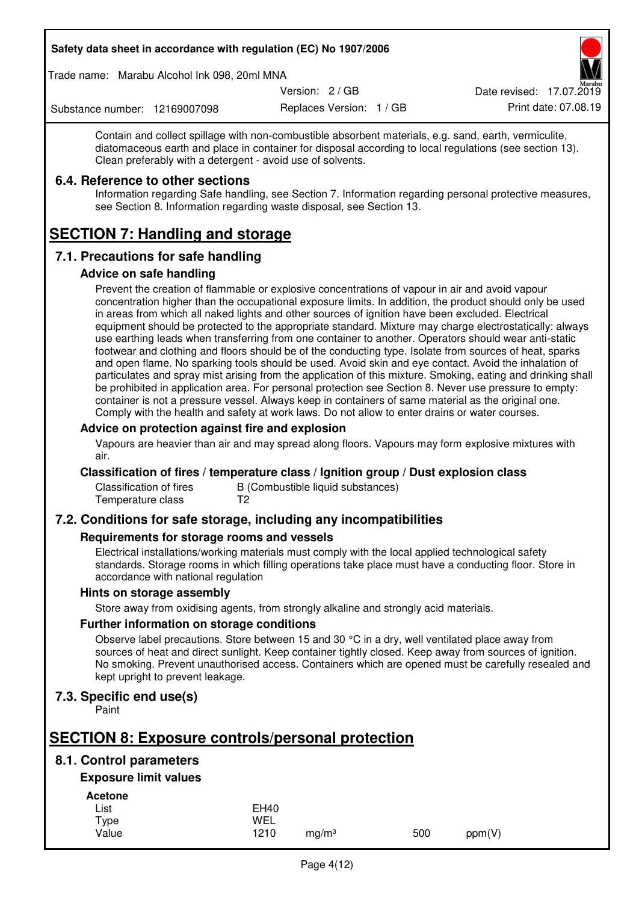Trade name: Marabu Alcohol Ink 098, 20ml MNA

Version: 2 / GB

Replaces Version: 1 / GB Print date: 07.08.19 Date revised: 17.07.2019

Substance number: 12169007098

Contain and collect spillage with non-combustible absorbent materials, e.g. sand, earth, vermiculite, diatomaceous earth and place in container for disposal according to local regulations (see section 13). Clean preferably with a detergent - avoid use of solvents.

## **6.4. Reference to other sections**

Information regarding Safe handling, see Section 7. Information regarding personal protective measures, see Section 8. Information regarding waste disposal, see Section 13.

# **SECTION 7: Handling and storage**

## **7.1. Precautions for safe handling**

#### **Advice on safe handling**

Prevent the creation of flammable or explosive concentrations of vapour in air and avoid vapour concentration higher than the occupational exposure limits. In addition, the product should only be used in areas from which all naked lights and other sources of ignition have been excluded. Electrical equipment should be protected to the appropriate standard. Mixture may charge electrostatically: always use earthing leads when transferring from one container to another. Operators should wear anti-static footwear and clothing and floors should be of the conducting type. Isolate from sources of heat, sparks and open flame. No sparking tools should be used. Avoid skin and eye contact. Avoid the inhalation of particulates and spray mist arising from the application of this mixture. Smoking, eating and drinking shall be prohibited in application area. For personal protection see Section 8. Never use pressure to empty: container is not a pressure vessel. Always keep in containers of same material as the original one. Comply with the health and safety at work laws. Do not allow to enter drains or water courses.

#### **Advice on protection against fire and explosion**

Vapours are heavier than air and may spread along floors. Vapours may form explosive mixtures with air.

#### **Classification of fires / temperature class / Ignition group / Dust explosion class**

Classification of fires B (Combustible liquid substances)<br>Temperature class T2 Temperature class

## **7.2. Conditions for safe storage, including any incompatibilities**

#### **Requirements for storage rooms and vessels**

Electrical installations/working materials must comply with the local applied technological safety standards. Storage rooms in which filling operations take place must have a conducting floor. Store in accordance with national regulation

#### **Hints on storage assembly**

Store away from oxidising agents, from strongly alkaline and strongly acid materials.

#### **Further information on storage conditions**

Observe label precautions. Store between 15 and 30 °C in a dry, well ventilated place away from sources of heat and direct sunlight. Keep container tightly closed. Keep away from sources of ignition. No smoking. Prevent unauthorised access. Containers which are opened must be carefully resealed and kept upright to prevent leakage.

## **7.3. Specific end use(s)**

Paint

# **SECTION 8: Exposure controls/personal protection**

## **8.1. Control parameters**

## **Exposure limit values**

**Acetone** 

| List  | <b>EH40</b> |                   |     |        |
|-------|-------------|-------------------|-----|--------|
| Type  | WEL         |                   |     |        |
| Value | 1210        | mg/m <sup>3</sup> | 500 | ppm(V) |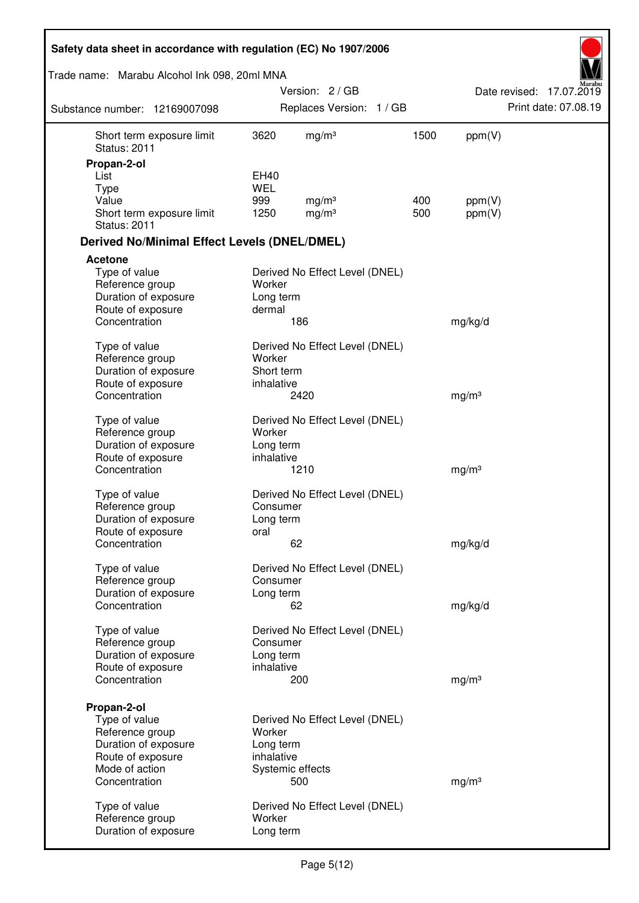| Safety data sheet in accordance with regulation (EC) No 1907/2006 |                      |                                |      |                   |                          |
|-------------------------------------------------------------------|----------------------|--------------------------------|------|-------------------|--------------------------|
| Trade name: Marabu Alcohol Ink 098, 20ml MNA                      |                      |                                |      |                   |                          |
|                                                                   |                      | Version: 2 / GB                |      |                   | Date revised: 17.07.2019 |
| Substance number: 12169007098                                     |                      | Replaces Version: 1 / GB       |      |                   | Print date: 07.08.19     |
| Short term exposure limit<br><b>Status: 2011</b>                  | 3620                 | mg/m <sup>3</sup>              | 1500 | ppm(V)            |                          |
| Propan-2-ol                                                       |                      |                                |      |                   |                          |
| List                                                              | EH40                 |                                |      |                   |                          |
| <b>Type</b><br>Value                                              | <b>WEL</b><br>999    | mg/m <sup>3</sup>              | 400  | ppm(V)            |                          |
| Short term exposure limit<br><b>Status: 2011</b>                  | 1250                 | mg/m <sup>3</sup>              | 500  | ppm(V)            |                          |
| <b>Derived No/Minimal Effect Levels (DNEL/DMEL)</b>               |                      |                                |      |                   |                          |
| <b>Acetone</b>                                                    |                      |                                |      |                   |                          |
| Type of value<br>Reference group<br>Duration of exposure          | Worker<br>Long term  | Derived No Effect Level (DNEL) |      |                   |                          |
| Route of exposure                                                 | dermal               |                                |      |                   |                          |
| Concentration                                                     |                      | 186                            |      | mg/kg/d           |                          |
| Type of value                                                     |                      | Derived No Effect Level (DNEL) |      |                   |                          |
| Reference group<br>Duration of exposure                           | Worker<br>Short term |                                |      |                   |                          |
| Route of exposure                                                 | inhalative           |                                |      |                   |                          |
| Concentration                                                     |                      | 2420                           |      | mg/m <sup>3</sup> |                          |
| Type of value                                                     |                      | Derived No Effect Level (DNEL) |      |                   |                          |
| Reference group                                                   | Worker               |                                |      |                   |                          |
| Duration of exposure                                              | Long term            |                                |      |                   |                          |
| Route of exposure<br>Concentration                                | inhalative           | 1210                           |      | mg/m <sup>3</sup> |                          |
| Type of value                                                     |                      | Derived No Effect Level (DNEL) |      |                   |                          |
| Reference group                                                   | Consumer             |                                |      |                   |                          |
| Duration of exposure                                              | Long term            |                                |      |                   |                          |
| Route of exposure                                                 | oral                 |                                |      |                   |                          |
| Concentration                                                     |                      | 62                             |      | mg/kg/d           |                          |
| Type of value<br>Reference group                                  | Consumer             | Derived No Effect Level (DNEL) |      |                   |                          |
| Duration of exposure                                              | Long term            |                                |      |                   |                          |
| Concentration                                                     |                      | 62                             |      | mg/kg/d           |                          |
| Type of value                                                     |                      | Derived No Effect Level (DNEL) |      |                   |                          |
| Reference group                                                   | Consumer             |                                |      |                   |                          |
| Duration of exposure                                              | Long term            |                                |      |                   |                          |
| Route of exposure<br>Concentration                                | inhalative           | 200                            |      | mg/m <sup>3</sup> |                          |
|                                                                   |                      |                                |      |                   |                          |
| Propan-2-ol                                                       |                      |                                |      |                   |                          |
| Type of value<br>Reference group                                  | Worker               | Derived No Effect Level (DNEL) |      |                   |                          |
| Duration of exposure                                              | Long term            |                                |      |                   |                          |
| Route of exposure                                                 | inhalative           |                                |      |                   |                          |
| Mode of action                                                    |                      | Systemic effects               |      |                   |                          |
| Concentration                                                     |                      | 500                            |      | mg/m <sup>3</sup> |                          |
| Type of value                                                     |                      | Derived No Effect Level (DNEL) |      |                   |                          |
| Reference group<br>Duration of exposure                           | Worker<br>Long term  |                                |      |                   |                          |
|                                                                   |                      |                                |      |                   |                          |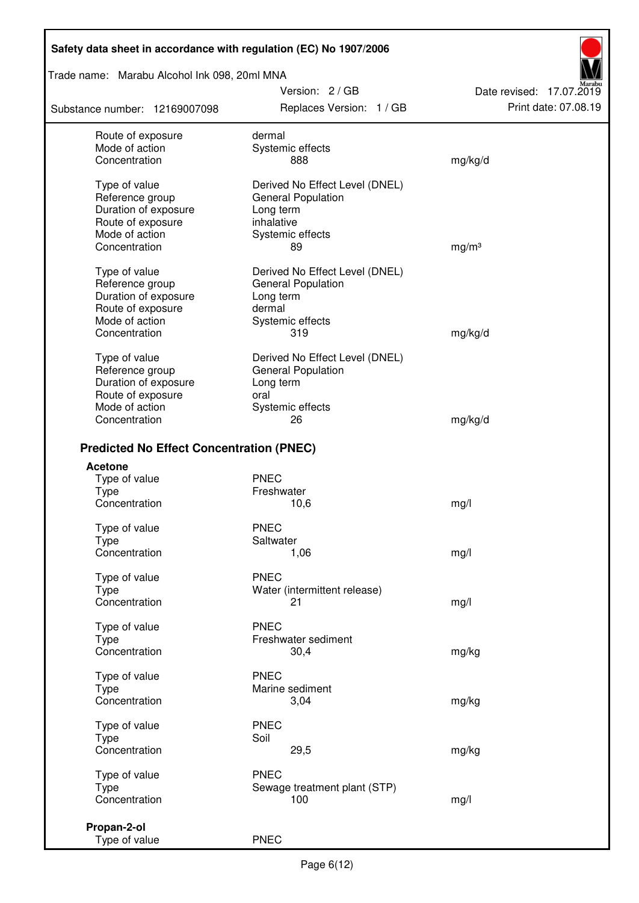Trade name: Marabu Alcohol Ink 098, 20ml MNA

Substance number: 12169007098

Version: 2 / GB Replaces Version: 1 / GB Print date: 07.08.19

Date revised: 17.07.2019

| Route of exposure                               | dermal                         |                   |
|-------------------------------------------------|--------------------------------|-------------------|
| Mode of action                                  | Systemic effects               |                   |
| Concentration                                   | 888                            | mg/kg/d           |
| Type of value                                   | Derived No Effect Level (DNEL) |                   |
| Reference group                                 | <b>General Population</b>      |                   |
| Duration of exposure                            |                                |                   |
|                                                 | Long term                      |                   |
| Route of exposure                               | inhalative                     |                   |
| Mode of action                                  | Systemic effects               |                   |
| Concentration                                   | 89                             | mg/m <sup>3</sup> |
| Type of value                                   | Derived No Effect Level (DNEL) |                   |
| Reference group                                 | <b>General Population</b>      |                   |
| Duration of exposure                            | Long term                      |                   |
| Route of exposure                               | dermal                         |                   |
| Mode of action                                  | Systemic effects               |                   |
| Concentration                                   | 319                            | mg/kg/d           |
|                                                 |                                |                   |
| Type of value                                   | Derived No Effect Level (DNEL) |                   |
| Reference group                                 | <b>General Population</b>      |                   |
| Duration of exposure                            | Long term                      |                   |
| Route of exposure                               | oral                           |                   |
| Mode of action                                  | Systemic effects               |                   |
| Concentration                                   | 26                             | mg/kg/d           |
|                                                 |                                |                   |
| <b>Predicted No Effect Concentration (PNEC)</b> |                                |                   |
| <b>Acetone</b>                                  |                                |                   |
| Type of value                                   | <b>PNEC</b>                    |                   |
| <b>Type</b>                                     | Freshwater                     |                   |
| Concentration                                   | 10,6                           | mg/l              |
| Type of value                                   | <b>PNEC</b>                    |                   |
| <b>Type</b>                                     | Saltwater                      |                   |
| Concentration                                   | 1,06                           | mg/l              |
|                                                 | <b>PNEC</b>                    |                   |
| Type of value                                   | Water (intermittent release)   |                   |
| Type                                            |                                |                   |
| Concentration                                   | 21                             | mg/l              |
| Type of value                                   | <b>PNEC</b>                    |                   |
| Type                                            | Freshwater sediment            |                   |
| Concentration                                   | 30,4                           | mg/kg             |
|                                                 |                                |                   |
| Type of value                                   | <b>PNEC</b>                    |                   |
| Type                                            | Marine sediment                |                   |
| Concentration                                   | 3,04                           | mg/kg             |
| Type of value                                   | <b>PNEC</b>                    |                   |
| <b>Type</b>                                     | Soil                           |                   |
| Concentration                                   | 29,5                           | mg/kg             |
|                                                 |                                |                   |
| Type of value                                   | <b>PNEC</b>                    |                   |
| Type                                            | Sewage treatment plant (STP)   |                   |
| Concentration                                   | 100                            | mg/l              |
| Propan-2-ol                                     |                                |                   |
| Type of value                                   | <b>PNEC</b>                    |                   |
|                                                 |                                |                   |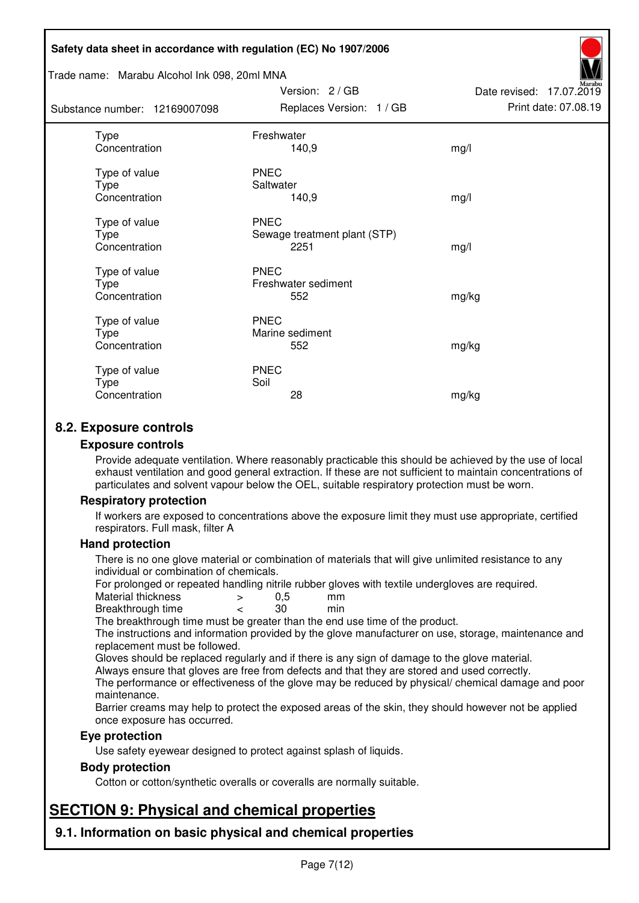#### Trade name: Marabu Alcohol Ink 098, 20ml MNA

Subs<sup>t</sup>

| tance number: 12169007098              | Replaces Version: 1 / GB                            | Print date: 07.08.19 |
|----------------------------------------|-----------------------------------------------------|----------------------|
| Type<br>Concentration                  | Freshwater<br>140,9                                 | mg/l                 |
| Type of value<br>Type<br>Concentration | <b>PNEC</b><br>Saltwater<br>140,9                   | mg/l                 |
| Type of value<br>Type<br>Concentration | <b>PNEC</b><br>Sewage treatment plant (STP)<br>2251 | mg/l                 |
| Type of value<br>Type<br>Concentration | <b>PNEC</b><br>Freshwater sediment<br>552           | mg/kg                |
| Type of value<br>Type<br>Concentration | <b>PNEC</b><br>Marine sediment<br>552               | mg/kg                |
| Type of value<br>Type<br>Concentration | <b>PNEC</b><br>Soil<br>28                           | mg/kg                |

Version: 2 / GB

Date revised: 17.07.2019

## **8.2. Exposure controls**

#### **Exposure controls**

Provide adequate ventilation. Where reasonably practicable this should be achieved by the use of local exhaust ventilation and good general extraction. If these are not sufficient to maintain concentrations of particulates and solvent vapour below the OEL, suitable respiratory protection must be worn.

#### **Respiratory protection**

If workers are exposed to concentrations above the exposure limit they must use appropriate, certified respirators. Full mask, filter A

#### **Hand protection**

There is no one glove material or combination of materials that will give unlimited resistance to any individual or combination of chemicals.

For prolonged or repeated handling nitrile rubber gloves with textile undergloves are required.<br>Material thickness  $\geq 0.5$  mm

- Material thickness  $\begin{array}{ccc} 0.5 \\ -8.5 \end{array}$  Material thickness  $\begin{array}{ccc} 0.5 \\ -8.5 \end{array}$
- Breakthrough time < 30 min

The breakthrough time must be greater than the end use time of the product.

The instructions and information provided by the glove manufacturer on use, storage, maintenance and replacement must be followed.

Gloves should be replaced regularly and if there is any sign of damage to the glove material.

Always ensure that gloves are free from defects and that they are stored and used correctly.

The performance or effectiveness of the glove may be reduced by physical/ chemical damage and poor maintenance.

Barrier creams may help to protect the exposed areas of the skin, they should however not be applied once exposure has occurred.

#### **Eye protection**

Use safety eyewear designed to protect against splash of liquids.

#### **Body protection**

Cotton or cotton/synthetic overalls or coveralls are normally suitable.

# **SECTION 9: Physical and chemical properties**

**9.1. Information on basic physical and chemical properties**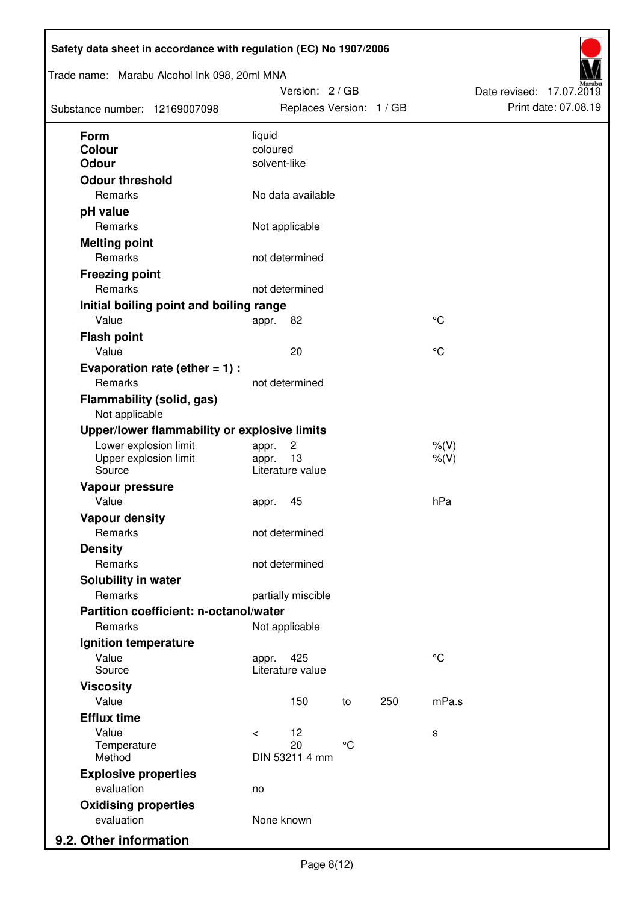| Substance number: 12169007098                      | Trade name: Marabu Alcohol Ink 098, 20ml MNA | Version: 2 / GB<br>Replaces Version: 1 / GB |                 |     |             | Date revised: 17.07.2019 | Print date: 07.08.19 |
|----------------------------------------------------|----------------------------------------------|---------------------------------------------|-----------------|-----|-------------|--------------------------|----------------------|
| Form                                               | liquid                                       |                                             |                 |     |             |                          |                      |
| <b>Colour</b>                                      | coloured                                     |                                             |                 |     |             |                          |                      |
| <b>Odour</b>                                       | solvent-like                                 |                                             |                 |     |             |                          |                      |
| <b>Odour threshold</b>                             |                                              |                                             |                 |     |             |                          |                      |
| Remarks                                            |                                              | No data available                           |                 |     |             |                          |                      |
| pH value                                           |                                              |                                             |                 |     |             |                          |                      |
| Remarks                                            |                                              | Not applicable                              |                 |     |             |                          |                      |
| <b>Melting point</b>                               |                                              |                                             |                 |     |             |                          |                      |
| Remarks                                            |                                              | not determined                              |                 |     |             |                          |                      |
| <b>Freezing point</b>                              |                                              |                                             |                 |     |             |                          |                      |
| Remarks                                            |                                              | not determined                              |                 |     |             |                          |                      |
| Initial boiling point and boiling range            |                                              |                                             |                 |     |             |                          |                      |
| Value                                              | appr.                                        | 82                                          |                 |     | $^{\circ}C$ |                          |                      |
| <b>Flash point</b>                                 |                                              |                                             |                 |     |             |                          |                      |
| Value                                              |                                              | 20                                          |                 |     | $^{\circ}C$ |                          |                      |
| Evaporation rate (ether $= 1$ ) :                  |                                              |                                             |                 |     |             |                          |                      |
| Remarks                                            |                                              | not determined                              |                 |     |             |                          |                      |
| <b>Flammability (solid, gas)</b><br>Not applicable |                                              |                                             |                 |     |             |                          |                      |
| Upper/lower flammability or explosive limits       |                                              |                                             |                 |     |             |                          |                      |
| Lower explosion limit                              | appr.                                        | $\overline{c}$                              |                 |     | $%$ (V)     |                          |                      |
| Upper explosion limit<br>Source                    | appr.                                        | 13<br>Literature value                      |                 |     | $%$ (V)     |                          |                      |
| Vapour pressure                                    |                                              |                                             |                 |     |             |                          |                      |
| Value                                              | appr.                                        | 45                                          |                 |     | hPa         |                          |                      |
| <b>Vapour density</b>                              |                                              |                                             |                 |     |             |                          |                      |
| Remarks                                            |                                              | not determined                              |                 |     |             |                          |                      |
| <b>Density</b>                                     |                                              |                                             |                 |     |             |                          |                      |
| Remarks                                            |                                              | not determined                              |                 |     |             |                          |                      |
| Solubility in water                                |                                              |                                             |                 |     |             |                          |                      |
| Remarks                                            |                                              | partially miscible                          |                 |     |             |                          |                      |
| Partition coefficient: n-octanol/water             |                                              |                                             |                 |     |             |                          |                      |
| Remarks                                            |                                              | Not applicable                              |                 |     |             |                          |                      |
| Ignition temperature                               |                                              |                                             |                 |     |             |                          |                      |
| Value                                              | appr.                                        | 425                                         |                 |     | $^{\circ}C$ |                          |                      |
| Source<br><b>Viscosity</b>                         |                                              | Literature value                            |                 |     |             |                          |                      |
| Value                                              |                                              | 150                                         | to              | 250 | mPa.s       |                          |                      |
| <b>Efflux time</b>                                 |                                              |                                             |                 |     |             |                          |                      |
| Value                                              | $\,<\,$                                      | 12                                          |                 |     | s           |                          |                      |
| Temperature                                        |                                              | 20                                          | $\rm ^{\circ}C$ |     |             |                          |                      |
| Method                                             |                                              | DIN 53211 4 mm                              |                 |     |             |                          |                      |
| <b>Explosive properties</b>                        |                                              |                                             |                 |     |             |                          |                      |
| evaluation                                         | no                                           |                                             |                 |     |             |                          |                      |
| <b>Oxidising properties</b>                        |                                              |                                             |                 |     |             |                          |                      |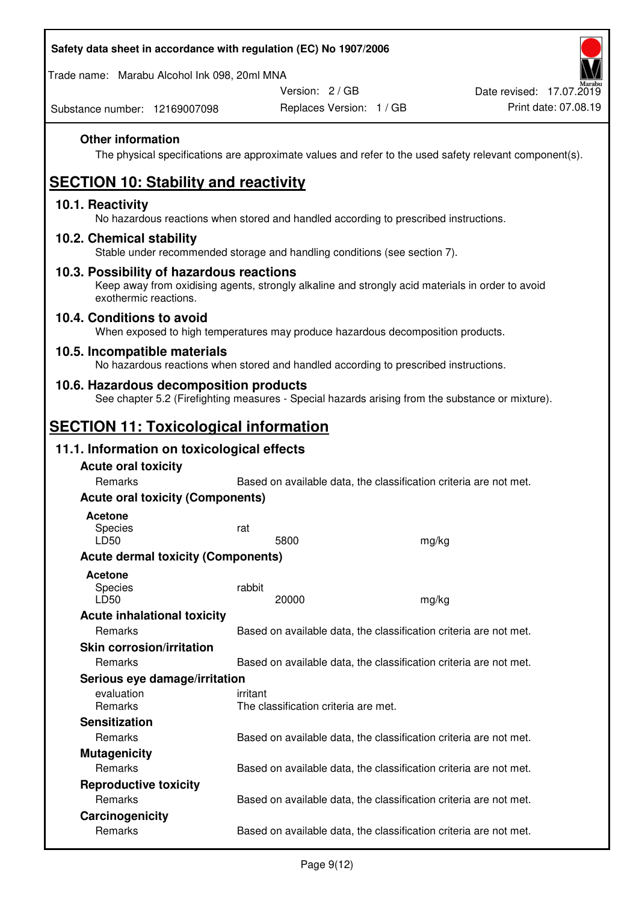| Safety data sheet in accordance with regulation (EC) No 1907/2006 |
|-------------------------------------------------------------------|
|-------------------------------------------------------------------|

Trade name: Marabu Alcohol Ink 098, 20ml MNA

Version: 2 / GB

Substance number: 12169007098

## **Other information**

The physical specifications are approximate values and refer to the used safety relevant component(s).

# **SECTION 10: Stability and reactivity**

#### **10.1. Reactivity**

No hazardous reactions when stored and handled according to prescribed instructions.

#### **10.2. Chemical stability**

Stable under recommended storage and handling conditions (see section 7).

#### **10.3. Possibility of hazardous reactions**

Keep away from oxidising agents, strongly alkaline and strongly acid materials in order to avoid exothermic reactions.

#### **10.4. Conditions to avoid**

When exposed to high temperatures may produce hazardous decomposition products.

#### **10.5. Incompatible materials**

No hazardous reactions when stored and handled according to prescribed instructions.

#### **10.6. Hazardous decomposition products**

See chapter 5.2 (Firefighting measures - Special hazards arising from the substance or mixture).

## **SECTION 11: Toxicological information**

### **11.1. Information on toxicological effects**

| <b>Acute oral toxicity</b>                |                                                                   |       |
|-------------------------------------------|-------------------------------------------------------------------|-------|
| Remarks                                   | Based on available data, the classification criteria are not met. |       |
| <b>Acute oral toxicity (Components)</b>   |                                                                   |       |
| <b>Acetone</b><br><b>Species</b><br>LD50  | rat<br>5800                                                       | mg/kg |
| <b>Acute dermal toxicity (Components)</b> |                                                                   |       |
| <b>Acetone</b><br>Species<br>LD50         | rabbit<br>20000                                                   | mg/kg |
| <b>Acute inhalational toxicity</b>        |                                                                   |       |
| Remarks                                   | Based on available data, the classification criteria are not met. |       |
| <b>Skin corrosion/irritation</b>          |                                                                   |       |
| Remarks                                   | Based on available data, the classification criteria are not met. |       |
| Serious eye damage/irritation             |                                                                   |       |
| evaluation<br><b>Remarks</b>              | irritant<br>The classification criteria are met.                  |       |
| <b>Sensitization</b>                      |                                                                   |       |
| Remarks                                   | Based on available data, the classification criteria are not met. |       |
| <b>Mutagenicity</b>                       |                                                                   |       |
| Remarks                                   | Based on available data, the classification criteria are not met. |       |
| <b>Reproductive toxicity</b>              |                                                                   |       |
| Remarks                                   | Based on available data, the classification criteria are not met. |       |
| Carcinogenicity                           |                                                                   |       |
| Remarks                                   | Based on available data, the classification criteria are not met. |       |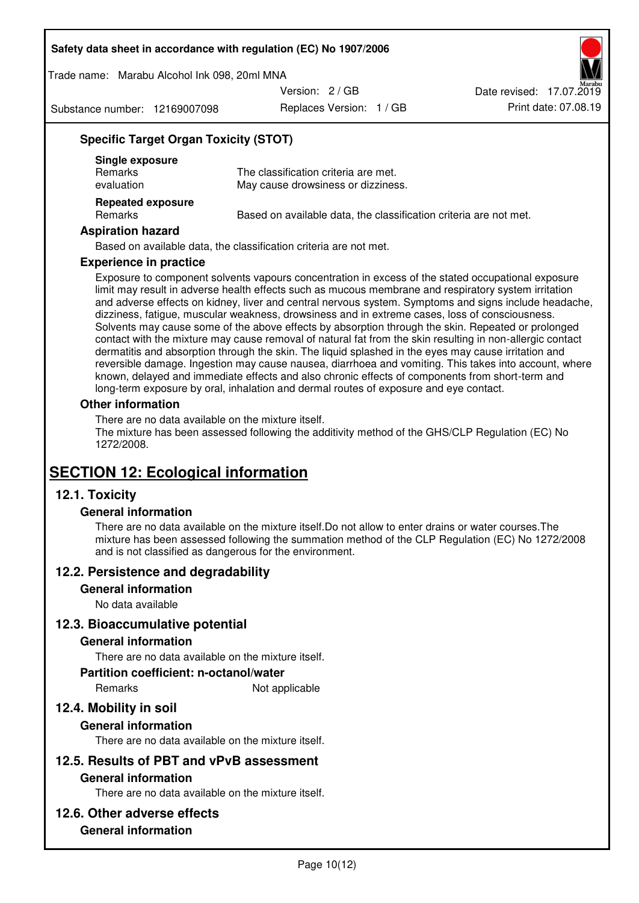Trade name: Marabu Alcohol Ink 098, 20ml MNA

Version: 2 / GB

Substance number: 12169007098

Replaces Version: 1 / GB Print date: 07.08.19 Date revised: 17.07.2019

## **Specific Target Organ Toxicity (STOT)**

| Single exposure<br><b>Remarks</b><br>evaluation | The classification criteria are met.<br>May cause drowsiness or dizziness. |
|-------------------------------------------------|----------------------------------------------------------------------------|
| <b>Repeated exposure</b><br><b>Remarks</b>      | Based on available data, the classification criteria are not met.          |

#### **Aspiration hazard**

Based on available data, the classification criteria are not met.

#### **Experience in practice**

Exposure to component solvents vapours concentration in excess of the stated occupational exposure limit may result in adverse health effects such as mucous membrane and respiratory system irritation and adverse effects on kidney, liver and central nervous system. Symptoms and signs include headache, dizziness, fatigue, muscular weakness, drowsiness and in extreme cases, loss of consciousness. Solvents may cause some of the above effects by absorption through the skin. Repeated or prolonged contact with the mixture may cause removal of natural fat from the skin resulting in non-allergic contact dermatitis and absorption through the skin. The liquid splashed in the eyes may cause irritation and reversible damage. Ingestion may cause nausea, diarrhoea and vomiting. This takes into account, where known, delayed and immediate effects and also chronic effects of components from short-term and long-term exposure by oral, inhalation and dermal routes of exposure and eye contact.

#### **Other information**

There are no data available on the mixture itself. The mixture has been assessed following the additivity method of the GHS/CLP Regulation (EC) No 1272/2008.

## **SECTION 12: Ecological information**

## **12.1. Toxicity**

#### **General information**

There are no data available on the mixture itself.Do not allow to enter drains or water courses.The mixture has been assessed following the summation method of the CLP Regulation (EC) No 1272/2008 and is not classified as dangerous for the environment.

#### **12.2. Persistence and degradability**

#### **General information**

No data available

#### **12.3. Bioaccumulative potential**

#### **General information**

There are no data available on the mixture itself.

#### **Partition coefficient: n-octanol/water**

Remarks Not applicable

## **12.4. Mobility in soil**

#### **General information**

There are no data available on the mixture itself.

## **12.5. Results of PBT and vPvB assessment**

#### **General information**

There are no data available on the mixture itself.

#### **12.6. Other adverse effects**

## **General information**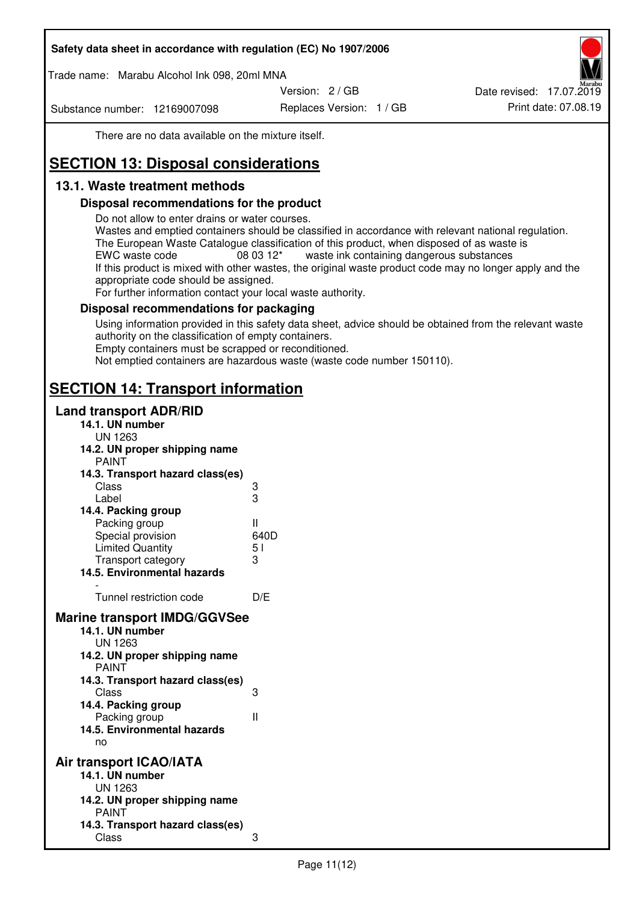Trade name: Marabu Alcohol Ink 098, 20ml MNA

Version: 2 / GB

Substance number: 12169007098

Replaces Version: 1 / GB Print date: 07.08.19 Date revised: 17.07.2019

There are no data available on the mixture itself.

# **SECTION 13: Disposal considerations**

## **13.1. Waste treatment methods**

### **Disposal recommendations for the product**

Do not allow to enter drains or water courses.

Wastes and emptied containers should be classified in accordance with relevant national regulation. The European Waste Catalogue classification of this product, when disposed of as waste is EWC waste code  $08\,03\,12^*$  waste ink containing dangerous substances If this product is mixed with other wastes, the original waste product code may no longer apply and the appropriate code should be assigned.

For further information contact your local waste authority.

### **Disposal recommendations for packaging**

Using information provided in this safety data sheet, advice should be obtained from the relevant waste authority on the classification of empty containers. Empty containers must be scrapped or reconditioned.

Not emptied containers are hazardous waste (waste code number 150110).

## **SECTION 14: Transport information**

### **Land transport ADR/RID**

| 14.1. UN number<br><b>UN 1263</b>                                                                                                                                                                                                            |                   |
|----------------------------------------------------------------------------------------------------------------------------------------------------------------------------------------------------------------------------------------------|-------------------|
| 14.2. UN proper shipping name                                                                                                                                                                                                                |                   |
| <b>PAINT</b>                                                                                                                                                                                                                                 |                   |
| 14.3. Transport hazard class(es)                                                                                                                                                                                                             |                   |
| Class                                                                                                                                                                                                                                        |                   |
| Label                                                                                                                                                                                                                                        | ვ<br>ვ            |
| 14.4. Packing group                                                                                                                                                                                                                          |                   |
| Packing group                                                                                                                                                                                                                                | Ш                 |
| Special provision                                                                                                                                                                                                                            | 640D              |
| <b>Limited Quantity</b>                                                                                                                                                                                                                      | 5 <sub>1</sub>    |
| Transport category                                                                                                                                                                                                                           | 3                 |
| 14.5. Environmental hazards                                                                                                                                                                                                                  |                   |
| Tunnel restriction code                                                                                                                                                                                                                      | D/E               |
|                                                                                                                                                                                                                                              |                   |
| <b>Marine transport IMDG/GGVSee</b><br>14.1. UN number<br>UN 1263<br>14.2. UN proper shipping name<br><b>PAINT</b><br>14.3. Transport hazard class(es)<br>Class<br>14.4. Packing group<br>Packing group<br>14.5. Environmental hazards<br>no | 3<br>$\mathbf{I}$ |
| Air transport ICAO/IATA                                                                                                                                                                                                                      |                   |
| 14.1. UN number                                                                                                                                                                                                                              |                   |
| UN 1263                                                                                                                                                                                                                                      |                   |
| 14.2. UN proper shipping name<br><b>PAINT</b>                                                                                                                                                                                                |                   |
| 14.3. Transport hazard class(es)                                                                                                                                                                                                             |                   |
| Class                                                                                                                                                                                                                                        | 3                 |
|                                                                                                                                                                                                                                              |                   |